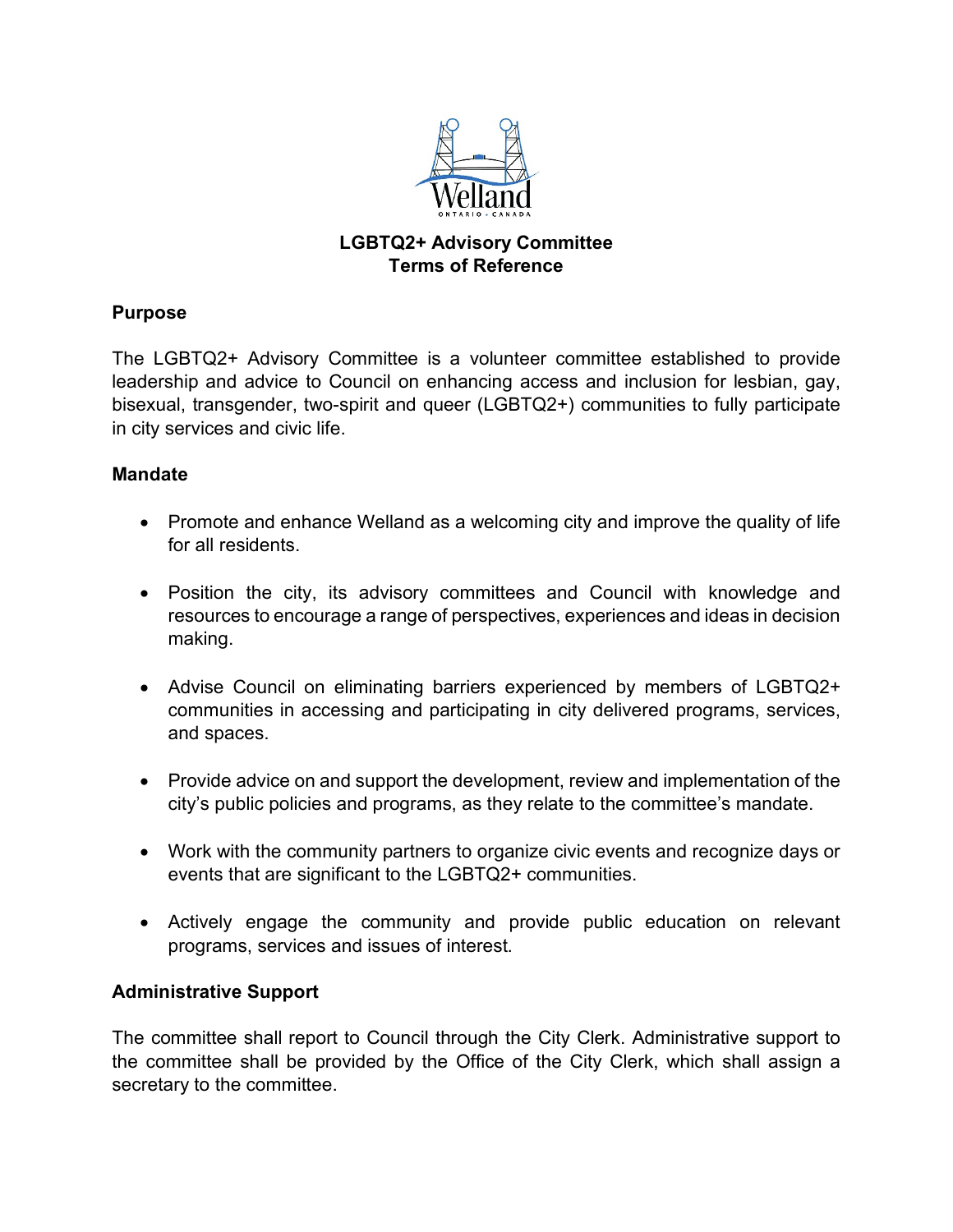

# **LGBTQ2+ Advisory Committee Terms of Reference**

# **Purpose**

The LGBTQ2+ Advisory Committee is a volunteer committee established to provide leadership and advice to Council on enhancing access and inclusion for lesbian, gay, bisexual, transgender, two-spirit and queer (LGBTQ2+) communities to fully participate in city services and civic life.

## **Mandate**

- Promote and enhance Welland as a welcoming city and improve the quality of life for all residents.
- Position the city, its advisory committees and Council with knowledge and resources to encourage a range of perspectives, experiences and ideas in decision making.
- Advise Council on eliminating barriers experienced by members of LGBTQ2+ communities in accessing and participating in city delivered programs, services, and spaces.
- Provide advice on and support the development, review and implementation of the city's public policies and programs, as they relate to the committee's mandate.
- Work with the community partners to organize civic events and recognize days or events that are significant to the LGBTQ2+ communities.
- Actively engage the community and provide public education on relevant programs, services and issues of interest.

# **Administrative Support**

The committee shall report to Council through the City Clerk. Administrative support to the committee shall be provided by the Office of the City Clerk, which shall assign a secretary to the committee.